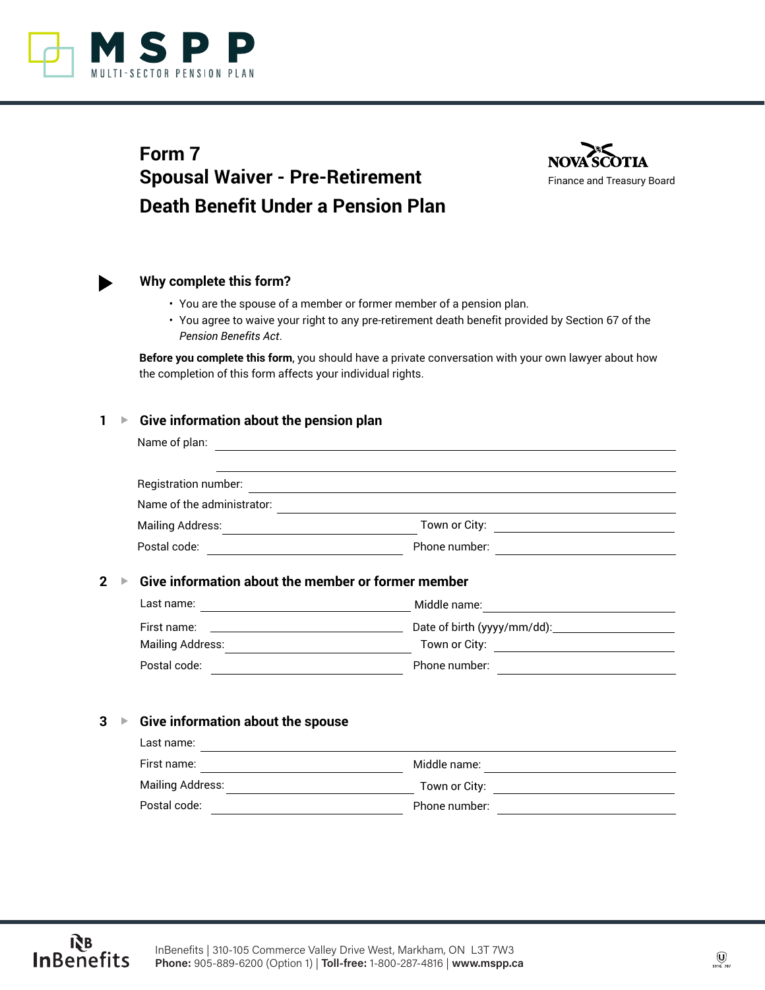

# **Form 7 Spousal Waiver - Pre-Retirement Death Benefit Under a Pension Plan**





# **Why complete this form?**

- You are the spouse of a member or former member of a pension plan.
- You agree to waive your right to any pre-retirement death benefit provided by Section 67 of the *Pension Benefits Act*.

**Before you complete this form**, you should have a private conversation with your own lawyer about how the completion of this form affects your individual rights.

## **1 ▶ Give information about the pension plan**

| Name of plan:              |               |  |
|----------------------------|---------------|--|
|                            |               |  |
| Registration number:       |               |  |
| Name of the administrator: |               |  |
| <b>Mailing Address:</b>    | Town or City: |  |
| Postal code:               | Phone number: |  |

# **2 ▶ Give information about the member or former member**

| Last name:       | Middle name:                |
|------------------|-----------------------------|
| First name:      | Date of birth (yyyy/mm/dd): |
| Mailing Address: | Town or City:               |
| Postal code:     | Phone number:               |

# **3** ▶ Give information about the spouse

| Last name:              |               |
|-------------------------|---------------|
| First name:             | Middle name:  |
| <b>Mailing Address:</b> | Town or City: |
| Postal code:            | Phone number: |
|                         |               |

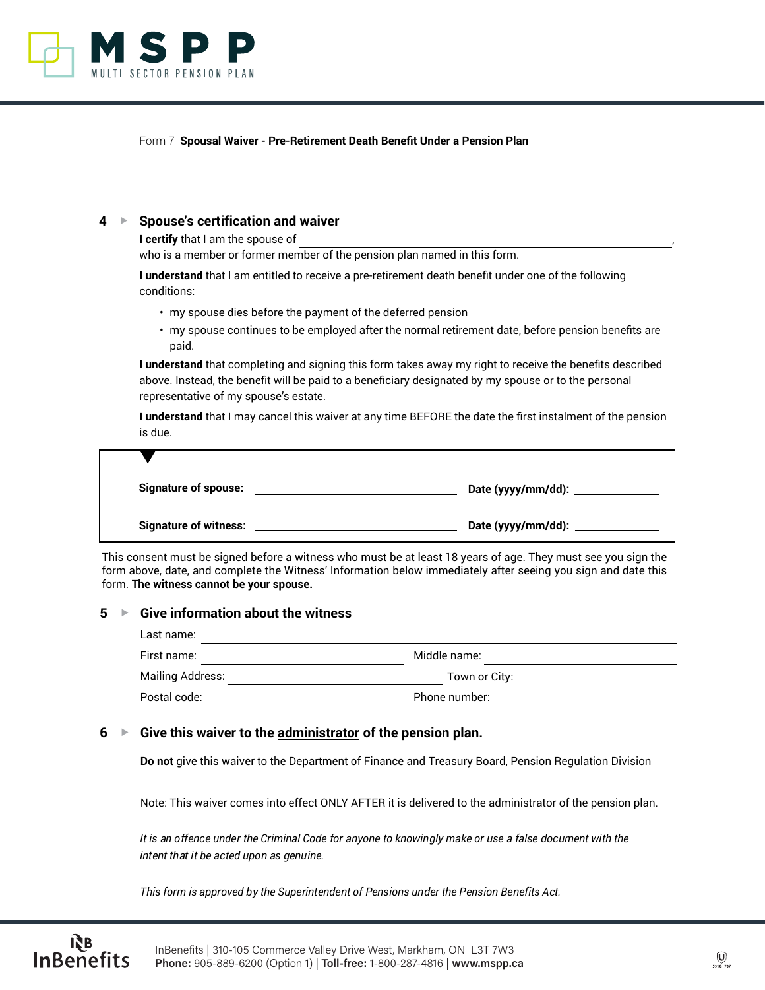

Form 7 **Spousal Waiver - Pre-Retirement Death Benefit Under a Pension Plan**

## **4** G **Spouse's certification and waiver**

**I certify** that I am the spouse of

who is a member or former member of the pension plan named in this form.

**I understand** that I am entitled to receive a pre-retirement death benefit under one of the following conditions:

- my spouse dies before the payment of the deferred pension
- my spouse continues to be employed after the normal retirement date, before pension benefits are paid.

**I understand** that completing and signing this form takes away my right to receive the benefits described above. Instead, the benefit will be paid to a beneficiary designated by my spouse or to the personal representative of my spouse's estate.

**I understand** that I may cancel this waiver at any time BEFORE the date the first instalment of the pension is due.

| <b>Signature of spouse:</b>  | Date (yyyy/mm/dd): _____    |
|------------------------------|-----------------------------|
| <b>Signature of witness:</b> | Date (yyyy/mm/dd): ________ |

This consent must be signed before a witness who must be at least 18 years of age. They must see you sign the form above, date, and complete the Witness' Information below immediately after seeing you sign and date this form. **The witness cannot be your spouse.**

#### **5** ▶ Give information about the witness

ŔВ

| Last name:              |               |
|-------------------------|---------------|
| First name:             | Middle name:  |
| <b>Mailing Address:</b> | Town or City: |
| Postal code:            | Phone number: |

## **6** ► Give this waiver to the administrator of the pension plan.

**Do not** give this waiver to the Department of Finance and Treasury Board, Pension Regulation Division

Note: This waiver comes into effect ONLY AFTER it is delivered to the administrator of the pension plan.

*It is an offence under the Criminal Code for anyone to knowingly make or use a false document with the intent that it be acted upon as genuine.*

*This form is approved by the Superintendent of Pensions under the Pension Benefits Act.*